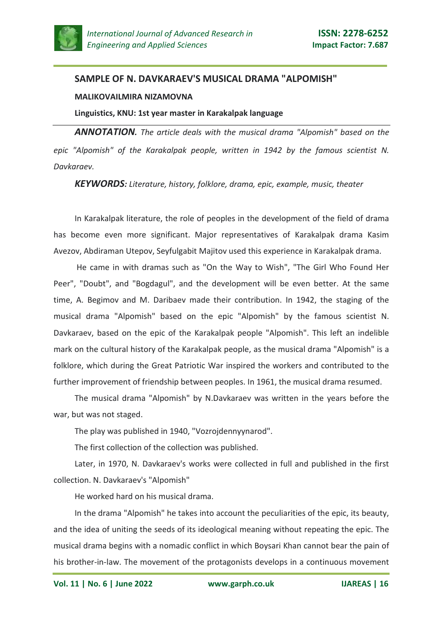

## **SAMPLE OF N. DAVKARAEV'S MUSICAL DRAMA "ALPOMISH"**

## **MALIKOVAILMIRA NIZAMOVNA**

## **Linguistics, KNU: 1st year master in Karakalpak language**

*ANNOTATION. The article deals with the musical drama "Alpomish" based on the epic "Alpomish" of the Karakalpak people, written in 1942 by the famous scientist N. Davkaraev.*

*KEYWORDS: Literature, history, folklore, drama, epic, example, music, theater*

In Karakalpak literature, the role of peoples in the development of the field of drama has become even more significant. Major representatives of Karakalpak drama Kasim Avezov, Abdiraman Utepov, Seyfulgabit Majitov used this experience in Karakalpak drama.

He came in with dramas such as "On the Way to Wish", "The Girl Who Found Her Peer", "Doubt", and "Bogdagul", and the development will be even better. At the same time, A. Begimov and M. Daribaev made their contribution. In 1942, the staging of the musical drama "Alpomish" based on the epic "Alpomish" by the famous scientist N. Davkaraev, based on the epic of the Karakalpak people "Alpomish". This left an indelible mark on the cultural history of the Karakalpak people, as the musical drama "Alpomish" is a folklore, which during the Great Patriotic War inspired the workers and contributed to the further improvement of friendship between peoples. In 1961, the musical drama resumed.

The musical drama "Alpomish" by N.Davkaraev was written in the years before the war, but was not staged.

The play was published in 1940, "Vozrojdennyynarod".

The first collection of the collection was published.

Later, in 1970, N. Davkaraev's works were collected in full and published in the first collection. N. Davkaraev's "Alpomish"

He worked hard on his musical drama.

In the drama "Alpomish" he takes into account the peculiarities of the epic, its beauty, and the idea of uniting the seeds of its ideological meaning without repeating the epic. The musical drama begins with a nomadic conflict in which Boysari Khan cannot bear the pain of his brother-in-law. The movement of the protagonists develops in a continuous movement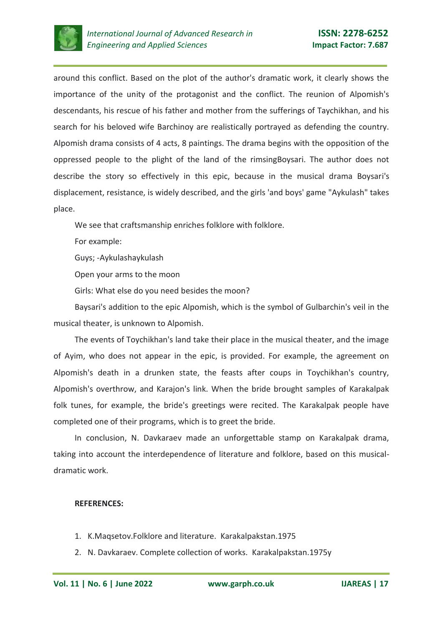

around this conflict. Based on the plot of the author's dramatic work, it clearly shows the importance of the unity of the protagonist and the conflict. The reunion of Alpomish's descendants, his rescue of his father and mother from the sufferings of Taychikhan, and his search for his beloved wife Barchinoy are realistically portrayed as defending the country. Alpomish drama consists of 4 acts, 8 paintings. The drama begins with the opposition of the oppressed people to the plight of the land of the rimsingBoysari. The author does not describe the story so effectively in this epic, because in the musical drama Boysari's displacement, resistance, is widely described, and the girls 'and boys' game "Aykulash" takes place.

We see that craftsmanship enriches folklore with folklore.

For example:

Guys; -Aykulashaykulash

Open your arms to the moon

Girls: What else do you need besides the moon?

Baysari's addition to the epic Alpomish, which is the symbol of Gulbarchin's veil in the musical theater, is unknown to Alpomish.

The events of Toychikhan's land take their place in the musical theater, and the image of Ayim, who does not appear in the epic, is provided. For example, the agreement on Alpomish's death in a drunken state, the feasts after coups in Toychikhan's country, Alpomish's overthrow, and Karajon's link. When the bride brought samples of Karakalpak folk tunes, for example, the bride's greetings were recited. The Karakalpak people have completed one of their programs, which is to greet the bride.

In conclusion, N. Davkaraev made an unforgettable stamp on Karakalpak drama, taking into account the interdependence of literature and folklore, based on this musicaldramatic work.

## **REFERENCES:**

- 1. K.Maqsetov.Folklore and literature. Karakalpakstan.1975
- 2. N. Davkaraev. Complete collection of works. Karakalpakstan.1975y